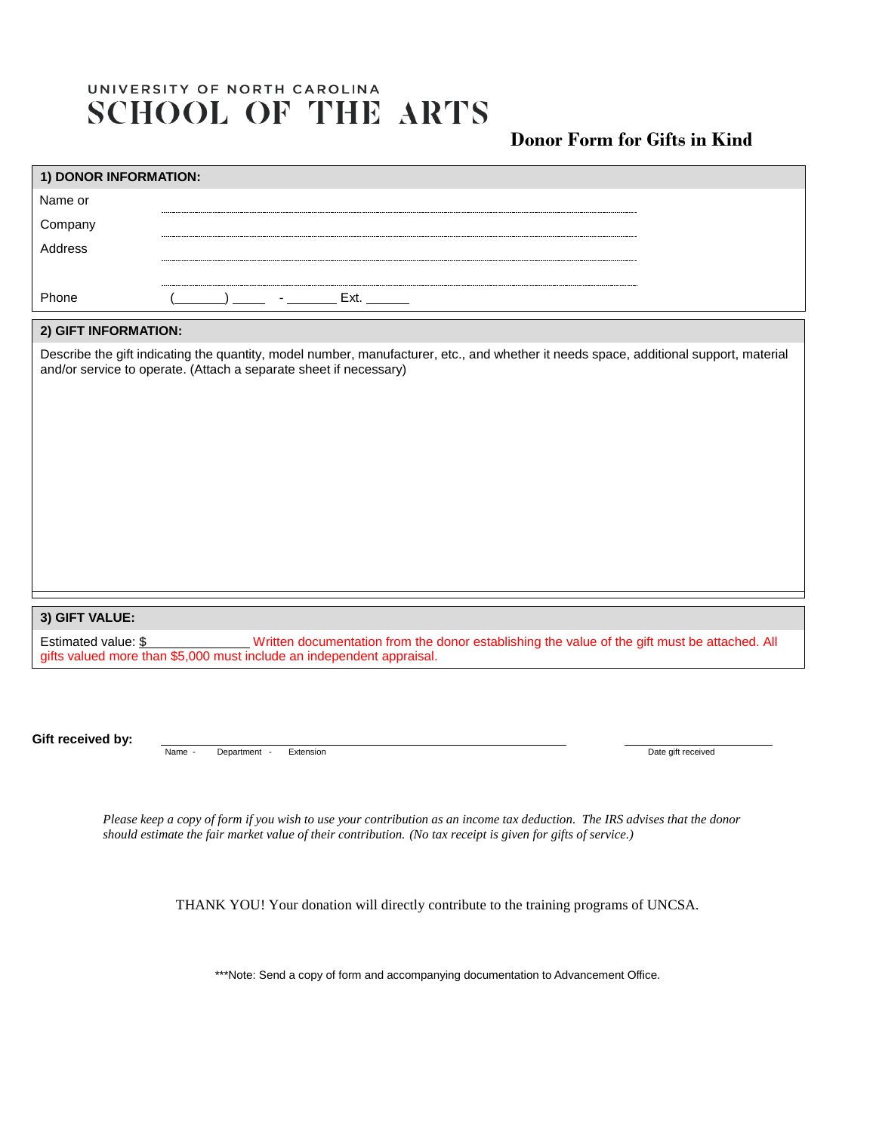## UNIVERSITY OF NORTH CAROLINA **SCHOOL OF THE ARTS**

## **Donor Form for Gifts in Kind**

| 1) DONOR INFORMATION:                                                                                                                                                                                      |        |              |           |  |  |                                                                                               |
|------------------------------------------------------------------------------------------------------------------------------------------------------------------------------------------------------------|--------|--------------|-----------|--|--|-----------------------------------------------------------------------------------------------|
| Name or                                                                                                                                                                                                    |        |              |           |  |  |                                                                                               |
| Company                                                                                                                                                                                                    |        |              |           |  |  |                                                                                               |
| Address                                                                                                                                                                                                    |        |              |           |  |  |                                                                                               |
|                                                                                                                                                                                                            |        |              |           |  |  |                                                                                               |
| Phone                                                                                                                                                                                                      |        |              | Ext.      |  |  |                                                                                               |
| 2) GIFT INFORMATION:                                                                                                                                                                                       |        |              |           |  |  |                                                                                               |
| Describe the gift indicating the quantity, model number, manufacturer, etc., and whether it needs space, additional support, material<br>and/or service to operate. (Attach a separate sheet if necessary) |        |              |           |  |  |                                                                                               |
|                                                                                                                                                                                                            |        |              |           |  |  |                                                                                               |
|                                                                                                                                                                                                            |        |              |           |  |  |                                                                                               |
|                                                                                                                                                                                                            |        |              |           |  |  |                                                                                               |
|                                                                                                                                                                                                            |        |              |           |  |  |                                                                                               |
|                                                                                                                                                                                                            |        |              |           |  |  |                                                                                               |
|                                                                                                                                                                                                            |        |              |           |  |  |                                                                                               |
| 3) GIFT VALUE:                                                                                                                                                                                             |        |              |           |  |  |                                                                                               |
| Estimated value: \$<br>gifts valued more than \$5,000 must include an independent appraisal.                                                                                                               |        |              |           |  |  | Written documentation from the donor establishing the value of the gift must be attached. All |
|                                                                                                                                                                                                            |        |              |           |  |  |                                                                                               |
|                                                                                                                                                                                                            |        |              |           |  |  |                                                                                               |
| Gift received by:                                                                                                                                                                                          | Name - | Department - | Extension |  |  | Date gift received                                                                            |
|                                                                                                                                                                                                            |        |              |           |  |  |                                                                                               |
|                                                                                                                                                                                                            |        |              |           |  |  |                                                                                               |

*Please keep a copy of form if you wish to use your contribution as an income tax deduction. The IRS advises that the donor should estimate the fair market value of their contribution. (No tax receipt is given for gifts of service.)*

THANK YOU! Your donation will directly contribute to the training programs of UNCSA.

\*\*\*Note: Send a copy of form and accompanying documentation to Advancement Office.